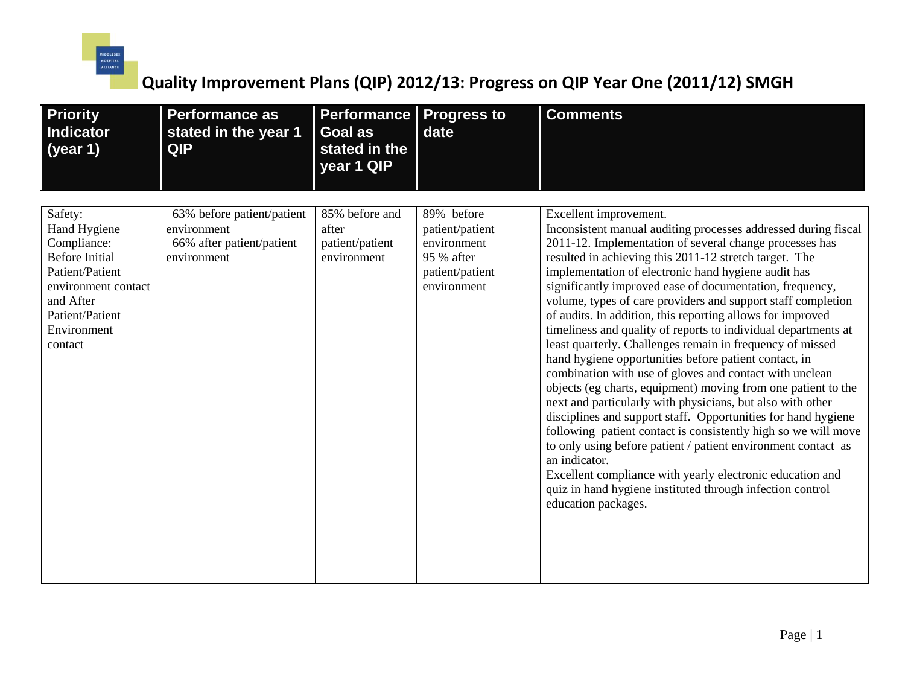

| <b>Priority</b><br><b>Indicator</b><br>(year 1)                                                                                                                     | <b>Performance as</b><br>stated in the year 1<br><b>QIP</b>                           | Performance<br>Goal as<br>stated in the<br>year 1 QIP     | <b>Progress to</b><br>date                                                                   | <b>Comments</b>                                                                                                                                                                                                                                                                                                                                                                                                                                                                                                                                                                                                                                                                                                                                                                                                                                                                                                                                                                                                                                                                                                                                                                                                        |
|---------------------------------------------------------------------------------------------------------------------------------------------------------------------|---------------------------------------------------------------------------------------|-----------------------------------------------------------|----------------------------------------------------------------------------------------------|------------------------------------------------------------------------------------------------------------------------------------------------------------------------------------------------------------------------------------------------------------------------------------------------------------------------------------------------------------------------------------------------------------------------------------------------------------------------------------------------------------------------------------------------------------------------------------------------------------------------------------------------------------------------------------------------------------------------------------------------------------------------------------------------------------------------------------------------------------------------------------------------------------------------------------------------------------------------------------------------------------------------------------------------------------------------------------------------------------------------------------------------------------------------------------------------------------------------|
| Safety:<br>Hand Hygiene<br>Compliance:<br><b>Before Initial</b><br>Patient/Patient<br>environment contact<br>and After<br>Patient/Patient<br>Environment<br>contact | 63% before patient/patient<br>environment<br>66% after patient/patient<br>environment | 85% before and<br>after<br>patient/patient<br>environment | 89% before<br>patient/patient<br>environment<br>95 % after<br>patient/patient<br>environment | Excellent improvement.<br>Inconsistent manual auditing processes addressed during fiscal<br>2011-12. Implementation of several change processes has<br>resulted in achieving this 2011-12 stretch target. The<br>implementation of electronic hand hygiene audit has<br>significantly improved ease of documentation, frequency,<br>volume, types of care providers and support staff completion<br>of audits. In addition, this reporting allows for improved<br>timeliness and quality of reports to individual departments at<br>least quarterly. Challenges remain in frequency of missed<br>hand hygiene opportunities before patient contact, in<br>combination with use of gloves and contact with unclean<br>objects (eg charts, equipment) moving from one patient to the<br>next and particularly with physicians, but also with other<br>disciplines and support staff. Opportunities for hand hygiene<br>following patient contact is consistently high so we will move<br>to only using before patient / patient environment contact as<br>an indicator.<br>Excellent compliance with yearly electronic education and<br>quiz in hand hygiene instituted through infection control<br>education packages. |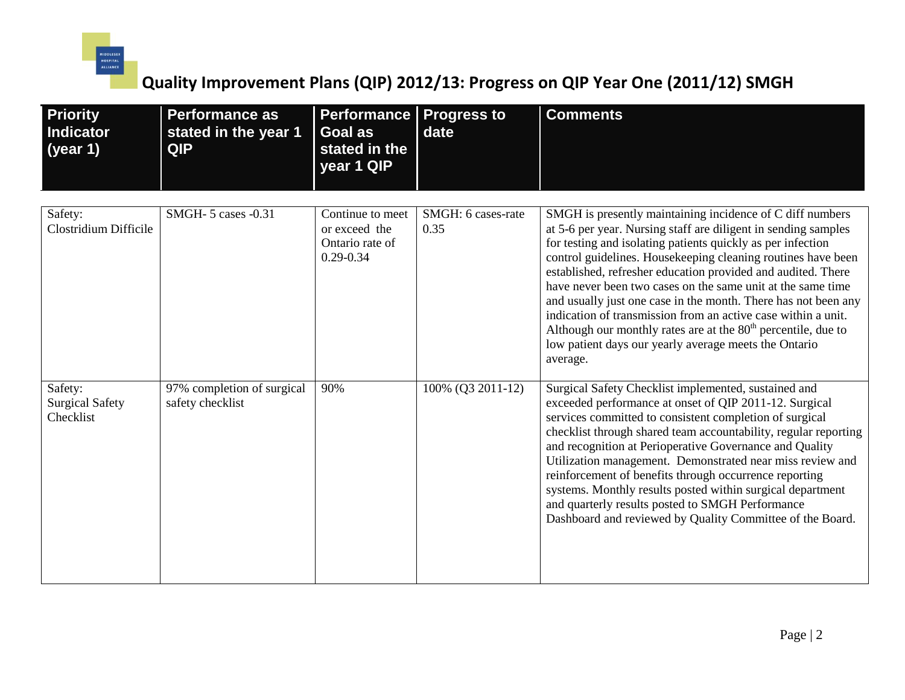

| <b>Priority</b><br><b>Indicator</b><br>(year 1) | <b>Performance as</b><br>stated in the year 1<br><b>QIP</b> | <b>Performance</b><br><b>Goal as</b><br>stated in the<br>year 1 QIP   | <b>Progress to</b><br>date | <b>Comments</b>                                                                                                                                                                                                                                                                                                                                                                                                                                                                                                                                                                                                                                                      |
|-------------------------------------------------|-------------------------------------------------------------|-----------------------------------------------------------------------|----------------------------|----------------------------------------------------------------------------------------------------------------------------------------------------------------------------------------------------------------------------------------------------------------------------------------------------------------------------------------------------------------------------------------------------------------------------------------------------------------------------------------------------------------------------------------------------------------------------------------------------------------------------------------------------------------------|
| Safety:<br>Clostridium Difficile                | SMGH- 5 cases -0.31                                         | Continue to meet<br>or exceed the<br>Ontario rate of<br>$0.29 - 0.34$ | SMGH: 6 cases-rate<br>0.35 | SMGH is presently maintaining incidence of C diff numbers<br>at 5-6 per year. Nursing staff are diligent in sending samples<br>for testing and isolating patients quickly as per infection<br>control guidelines. Housekeeping cleaning routines have been<br>established, refresher education provided and audited. There<br>have never been two cases on the same unit at the same time<br>and usually just one case in the month. There has not been any<br>indication of transmission from an active case within a unit.<br>Although our monthly rates are at the $80th$ percentile, due to<br>low patient days our yearly average meets the Ontario<br>average. |
| Safety:<br><b>Surgical Safety</b><br>Checklist  | 97% completion of surgical<br>safety checklist              | 90%                                                                   | 100% (Q3 2011-12)          | Surgical Safety Checklist implemented, sustained and<br>exceeded performance at onset of QIP 2011-12. Surgical<br>services committed to consistent completion of surgical<br>checklist through shared team accountability, regular reporting<br>and recognition at Perioperative Governance and Quality<br>Utilization management. Demonstrated near miss review and<br>reinforcement of benefits through occurrence reporting<br>systems. Monthly results posted within surgical department<br>and quarterly results posted to SMGH Performance<br>Dashboard and reviewed by Quality Committee of the Board.                                                        |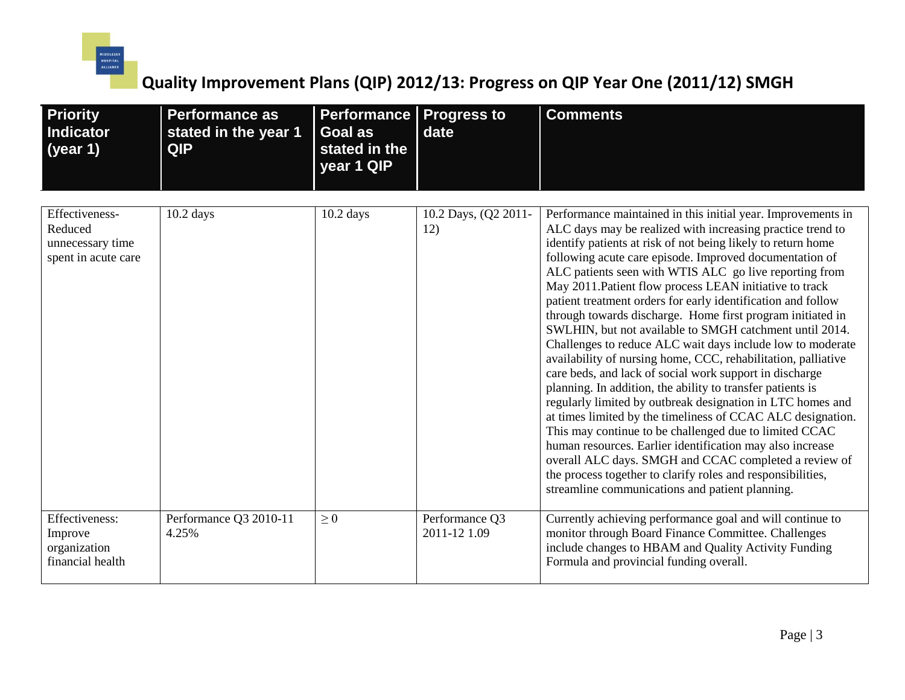

| <b>Priority</b><br><b>Indicator</b><br>(year 1)                      | <b>Performance as</b><br>stated in the year 1<br><b>QIP</b> | <b>Performance</b><br>Goal as<br>stated in the<br>year 1 QIP | <b>Progress to</b><br>date     | <b>Comments</b>                                                                                                                                                                                                                                                                                                                                                                                                                                                                                                                                                                                                                                                                                                                                                                                                                                                                                                                                                                                                                                                                                                                                                                                                                                            |
|----------------------------------------------------------------------|-------------------------------------------------------------|--------------------------------------------------------------|--------------------------------|------------------------------------------------------------------------------------------------------------------------------------------------------------------------------------------------------------------------------------------------------------------------------------------------------------------------------------------------------------------------------------------------------------------------------------------------------------------------------------------------------------------------------------------------------------------------------------------------------------------------------------------------------------------------------------------------------------------------------------------------------------------------------------------------------------------------------------------------------------------------------------------------------------------------------------------------------------------------------------------------------------------------------------------------------------------------------------------------------------------------------------------------------------------------------------------------------------------------------------------------------------|
| Effectiveness-<br>Reduced<br>unnecessary time<br>spent in acute care | $10.2$ days                                                 | $10.2$ days                                                  | 10.2 Days, (Q2 2011-<br>12)    | Performance maintained in this initial year. Improvements in<br>ALC days may be realized with increasing practice trend to<br>identify patients at risk of not being likely to return home<br>following acute care episode. Improved documentation of<br>ALC patients seen with WTIS ALC go live reporting from<br>May 2011. Patient flow process LEAN initiative to track<br>patient treatment orders for early identification and follow<br>through towards discharge. Home first program initiated in<br>SWLHIN, but not available to SMGH catchment until 2014.<br>Challenges to reduce ALC wait days include low to moderate<br>availability of nursing home, CCC, rehabilitation, palliative<br>care beds, and lack of social work support in discharge<br>planning. In addition, the ability to transfer patients is<br>regularly limited by outbreak designation in LTC homes and<br>at times limited by the timeliness of CCAC ALC designation.<br>This may continue to be challenged due to limited CCAC<br>human resources. Earlier identification may also increase<br>overall ALC days. SMGH and CCAC completed a review of<br>the process together to clarify roles and responsibilities,<br>streamline communications and patient planning. |
| Effectiveness:<br>Improve<br>organization<br>financial health        | Performance Q3 2010-11<br>4.25%                             | $\geq 0$                                                     | Performance Q3<br>2011-12 1.09 | Currently achieving performance goal and will continue to<br>monitor through Board Finance Committee. Challenges<br>include changes to HBAM and Quality Activity Funding<br>Formula and provincial funding overall.                                                                                                                                                                                                                                                                                                                                                                                                                                                                                                                                                                                                                                                                                                                                                                                                                                                                                                                                                                                                                                        |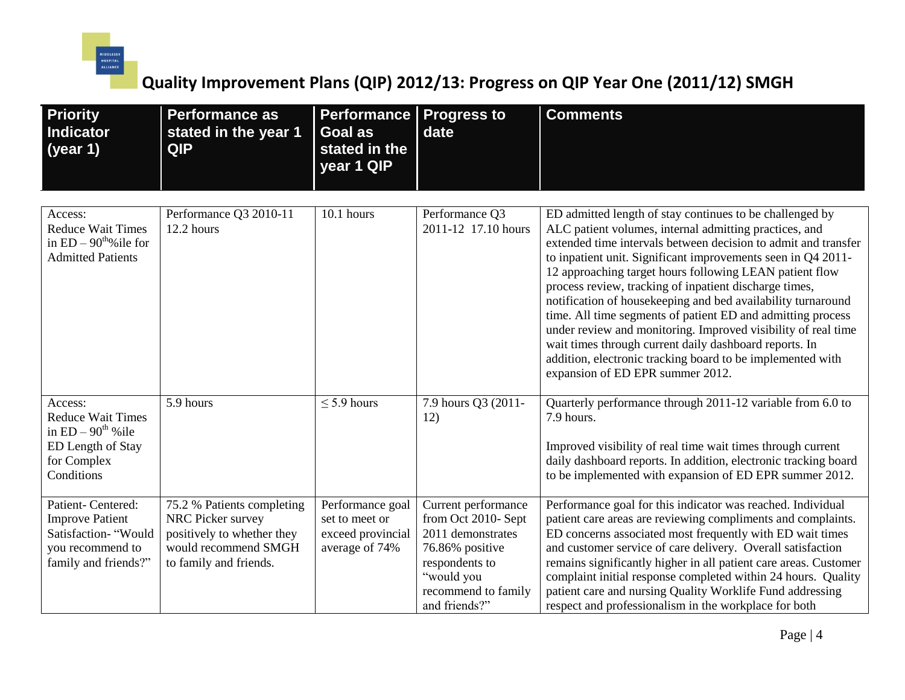

| <b>Priority</b><br><b>Indicator</b><br>(year 1)                                                                  | <b>Performance as</b><br>stated in the year 1<br>QIP                                                                            | <b>Performance</b><br><b>Goal as</b><br>stated in the<br>year 1 QIP       | <b>Progress to</b><br>date                                                                                                                                | <b>Comments</b>                                                                                                                                                                                                                                                                                                                                                                                                                                                                                                                                                                                                                                                                                                                       |
|------------------------------------------------------------------------------------------------------------------|---------------------------------------------------------------------------------------------------------------------------------|---------------------------------------------------------------------------|-----------------------------------------------------------------------------------------------------------------------------------------------------------|---------------------------------------------------------------------------------------------------------------------------------------------------------------------------------------------------------------------------------------------------------------------------------------------------------------------------------------------------------------------------------------------------------------------------------------------------------------------------------------------------------------------------------------------------------------------------------------------------------------------------------------------------------------------------------------------------------------------------------------|
| Access:<br><b>Reduce Wait Times</b><br>in $ED - 90th%$ ile for<br><b>Admitted Patients</b>                       | Performance Q3 2010-11<br>12.2 hours                                                                                            | 10.1 hours                                                                | Performance Q3<br>2011-12 17.10 hours                                                                                                                     | ED admitted length of stay continues to be challenged by<br>ALC patient volumes, internal admitting practices, and<br>extended time intervals between decision to admit and transfer<br>to inpatient unit. Significant improvements seen in Q4 2011-<br>12 approaching target hours following LEAN patient flow<br>process review, tracking of inpatient discharge times,<br>notification of housekeeping and bed availability turnaround<br>time. All time segments of patient ED and admitting process<br>under review and monitoring. Improved visibility of real time<br>wait times through current daily dashboard reports. In<br>addition, electronic tracking board to be implemented with<br>expansion of ED EPR summer 2012. |
| Access:<br><b>Reduce Wait Times</b><br>in $ED - 90th$ % ile<br>ED Length of Stay<br>for Complex<br>Conditions    | 5.9 hours                                                                                                                       | $\leq$ 5.9 hours                                                          | 7.9 hours Q3 (2011-<br>12)                                                                                                                                | Quarterly performance through 2011-12 variable from 6.0 to<br>7.9 hours.<br>Improved visibility of real time wait times through current<br>daily dashboard reports. In addition, electronic tracking board<br>to be implemented with expansion of ED EPR summer 2012.                                                                                                                                                                                                                                                                                                                                                                                                                                                                 |
| Patient- Centered:<br><b>Improve Patient</b><br>Satisfaction- "Would<br>you recommend to<br>family and friends?" | 75.2 % Patients completing<br>NRC Picker survey<br>positively to whether they<br>would recommend SMGH<br>to family and friends. | Performance goal<br>set to meet or<br>exceed provincial<br>average of 74% | Current performance<br>from Oct 2010-Sept<br>2011 demonstrates<br>76.86% positive<br>respondents to<br>"would you<br>recommend to family<br>and friends?" | Performance goal for this indicator was reached. Individual<br>patient care areas are reviewing compliments and complaints.<br>ED concerns associated most frequently with ED wait times<br>and customer service of care delivery. Overall satisfaction<br>remains significantly higher in all patient care areas. Customer<br>complaint initial response completed within 24 hours. Quality<br>patient care and nursing Quality Worklife Fund addressing<br>respect and professionalism in the workplace for both                                                                                                                                                                                                                    |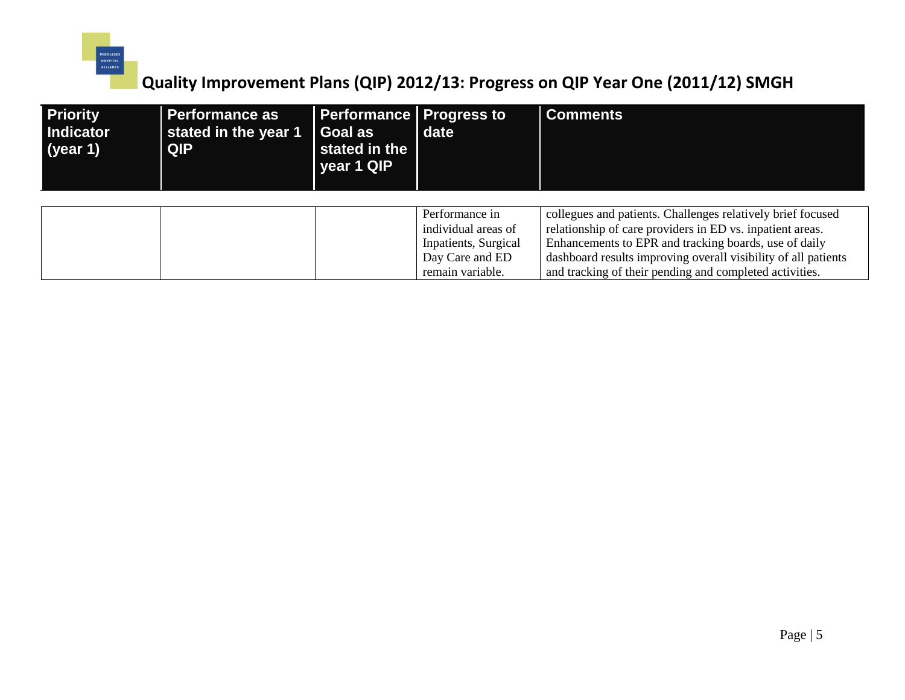

| <b>Priority</b><br>Indicator<br>$\sqrt{(year 1)}$ | <b>Performance as</b><br>stated in the year 1<br><b>QIP</b> | Performance Progress to<br><b>Goal as</b><br>stated in the<br>year 1 QIP | date                 | <b>Comments</b>                                                |
|---------------------------------------------------|-------------------------------------------------------------|--------------------------------------------------------------------------|----------------------|----------------------------------------------------------------|
|                                                   |                                                             |                                                                          |                      |                                                                |
|                                                   |                                                             |                                                                          | Performance in       | collegues and patients. Challenges relatively brief focused    |
|                                                   |                                                             |                                                                          | individual areas of  | relationship of care providers in ED vs. inpatient areas.      |
|                                                   |                                                             |                                                                          | Inpatients, Surgical | Enhancements to EPR and tracking boards, use of daily          |
|                                                   |                                                             |                                                                          | Day Care and ED      | dashboard results improving overall visibility of all patients |
|                                                   |                                                             |                                                                          | remain variable.     | and tracking of their pending and completed activities.        |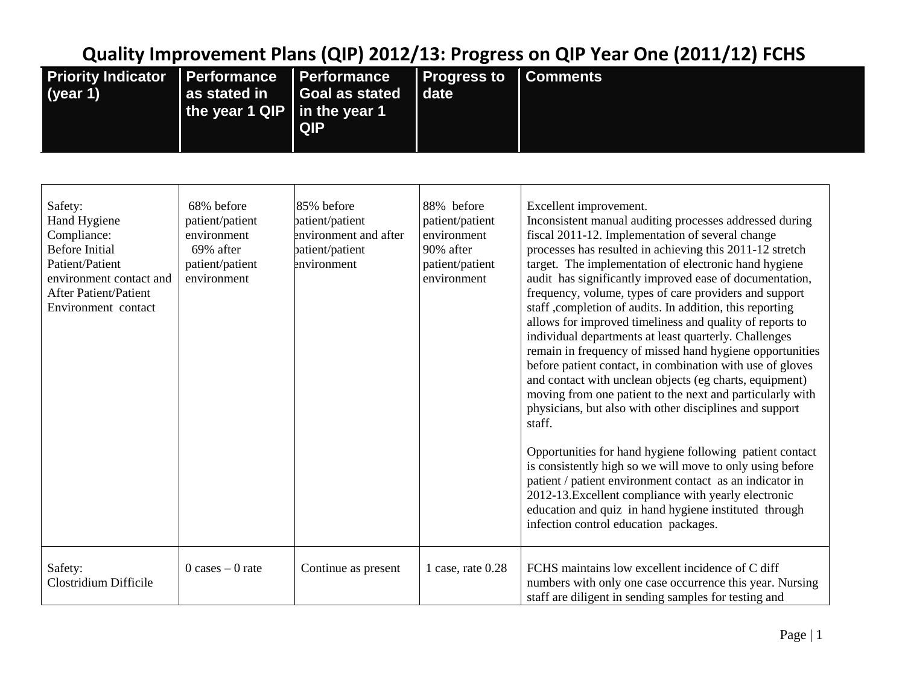| <b>Priority Indicator</b><br>(year 1)                                                                                                                                | <b>Performance</b><br>as stated in<br>the year 1 QIP                                        | <b>Performance</b><br><b>Goal as stated</b><br>in the year 1<br><b>QIP</b>               | <b>Progress to</b><br>date                                                                  | <b>Comments</b>                                                                                                                                                                                                                                                                                                                                                                                                                                                                                                                                                                                                                                                                                                                                                                                                                                                                                                                                                                                                                                                                                                                                                                                                                       |
|----------------------------------------------------------------------------------------------------------------------------------------------------------------------|---------------------------------------------------------------------------------------------|------------------------------------------------------------------------------------------|---------------------------------------------------------------------------------------------|---------------------------------------------------------------------------------------------------------------------------------------------------------------------------------------------------------------------------------------------------------------------------------------------------------------------------------------------------------------------------------------------------------------------------------------------------------------------------------------------------------------------------------------------------------------------------------------------------------------------------------------------------------------------------------------------------------------------------------------------------------------------------------------------------------------------------------------------------------------------------------------------------------------------------------------------------------------------------------------------------------------------------------------------------------------------------------------------------------------------------------------------------------------------------------------------------------------------------------------|
| Safety:<br>Hand Hygiene<br>Compliance:<br><b>Before Initial</b><br>Patient/Patient<br>environment contact and<br><b>After Patient/Patient</b><br>Environment contact | 68% before<br>patient/patient<br>environment<br>69% after<br>patient/patient<br>environment | 85% before<br>patient/patient<br>environment and after<br>patient/patient<br>environment | 88% before<br>patient/patient<br>environment<br>90% after<br>patient/patient<br>environment | Excellent improvement.<br>Inconsistent manual auditing processes addressed during<br>fiscal 2011-12. Implementation of several change<br>processes has resulted in achieving this 2011-12 stretch<br>target. The implementation of electronic hand hygiene<br>audit has significantly improved ease of documentation,<br>frequency, volume, types of care providers and support<br>staff, completion of audits. In addition, this reporting<br>allows for improved timeliness and quality of reports to<br>individual departments at least quarterly. Challenges<br>remain in frequency of missed hand hygiene opportunities<br>before patient contact, in combination with use of gloves<br>and contact with unclean objects (eg charts, equipment)<br>moving from one patient to the next and particularly with<br>physicians, but also with other disciplines and support<br>staff.<br>Opportunities for hand hygiene following patient contact<br>is consistently high so we will move to only using before<br>patient / patient environment contact as an indicator in<br>2012-13. Excellent compliance with yearly electronic<br>education and quiz in hand hygiene instituted through<br>infection control education packages. |
| Safety:<br>Clostridium Difficile                                                                                                                                     | $0 \text{ cases} - 0 \text{ rate}$                                                          | Continue as present                                                                      | 1 case, rate $0.28$                                                                         | FCHS maintains low excellent incidence of C diff<br>numbers with only one case occurrence this year. Nursing<br>staff are diligent in sending samples for testing and                                                                                                                                                                                                                                                                                                                                                                                                                                                                                                                                                                                                                                                                                                                                                                                                                                                                                                                                                                                                                                                                 |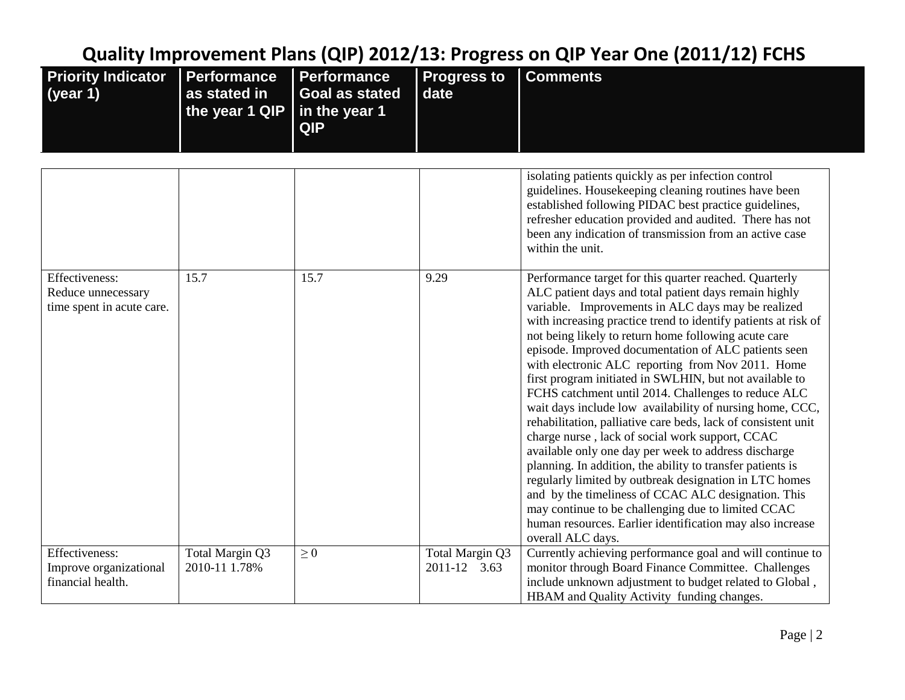| <b>Priority Indicator</b><br>(year 1)                             | Performance<br>as stated in<br>the year 1 QIP | <b>Performance</b><br><b>Goal as stated</b><br>in the year 1<br>QIP | <b>Progress to</b><br>date      | <b>Comments</b>                                                                                                                                                                                                                                                                                                                                                                                                                                                                                                                                                                                                                                                                                                                                                                                                                                                                                                                                                                                                                                                                               |
|-------------------------------------------------------------------|-----------------------------------------------|---------------------------------------------------------------------|---------------------------------|-----------------------------------------------------------------------------------------------------------------------------------------------------------------------------------------------------------------------------------------------------------------------------------------------------------------------------------------------------------------------------------------------------------------------------------------------------------------------------------------------------------------------------------------------------------------------------------------------------------------------------------------------------------------------------------------------------------------------------------------------------------------------------------------------------------------------------------------------------------------------------------------------------------------------------------------------------------------------------------------------------------------------------------------------------------------------------------------------|
|                                                                   |                                               |                                                                     |                                 | isolating patients quickly as per infection control<br>guidelines. Housekeeping cleaning routines have been<br>established following PIDAC best practice guidelines,<br>refresher education provided and audited. There has not<br>been any indication of transmission from an active case<br>within the unit.                                                                                                                                                                                                                                                                                                                                                                                                                                                                                                                                                                                                                                                                                                                                                                                |
| Effectiveness:<br>Reduce unnecessary<br>time spent in acute care. | 15.7                                          | 15.7                                                                | 9.29                            | Performance target for this quarter reached. Quarterly<br>ALC patient days and total patient days remain highly<br>variable. Improvements in ALC days may be realized<br>with increasing practice trend to identify patients at risk of<br>not being likely to return home following acute care<br>episode. Improved documentation of ALC patients seen<br>with electronic ALC reporting from Nov 2011. Home<br>first program initiated in SWLHIN, but not available to<br>FCHS catchment until 2014. Challenges to reduce ALC<br>wait days include low availability of nursing home, CCC,<br>rehabilitation, palliative care beds, lack of consistent unit<br>charge nurse, lack of social work support, CCAC<br>available only one day per week to address discharge<br>planning. In addition, the ability to transfer patients is<br>regularly limited by outbreak designation in LTC homes<br>and by the timeliness of CCAC ALC designation. This<br>may continue to be challenging due to limited CCAC<br>human resources. Earlier identification may also increase<br>overall ALC days. |
| Effectiveness:<br>Improve organizational<br>financial health.     | Total Margin $\overline{Q3}$<br>2010-11 1.78% | $\geq 0$                                                            | Total Margin Q3<br>2011-12 3.63 | Currently achieving performance goal and will continue to<br>monitor through Board Finance Committee. Challenges<br>include unknown adjustment to budget related to Global,<br>HBAM and Quality Activity funding changes.                                                                                                                                                                                                                                                                                                                                                                                                                                                                                                                                                                                                                                                                                                                                                                                                                                                                     |